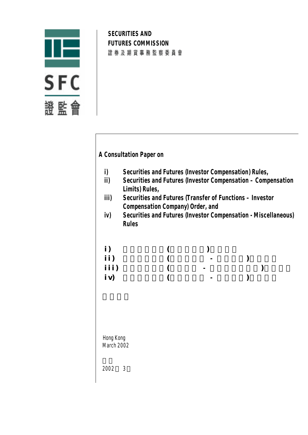

**SECURITIES AND FUTURES COMMISSION** 證券及期貨事務監察委員會

# **A Consultation Paper on**

- **i) Securities and Futures (Investor Compensation) Rules,**
- **ii) Securities and Futures (Investor Compensation Compensation Limits) Rules,**
- **iii) Securities and Futures (Transfer of Functions Investor Compensation Company) Order, and**
- **iv) Securities and Futures (Investor Compensation Miscellaneous) Rules**

| i)   |   |  |
|------|---|--|
| ii)  | - |  |
| iii) | - |  |
| iv)  | - |  |

 Hong Kong March 2002

2002 3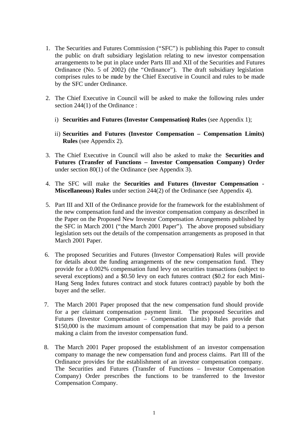- 1. The Securities and Futures Commission ("SFC") is publishing this Paper to consult the public on draft subsidiary legislation relating to new investor compensation arrangements to be put in place under Parts III and XII of the Securities and Futures Ordinance (No. 5 of 2002) (the "Ordinance"). The draft subsidiary legislation comprises rules to be made by the Chief Executive in Council and rules to be made by the SFC under Ordinance.
- 2. The Chief Executive in Council will be asked to make the following rules under section 244(1) of the Ordinance :
	- i) **Securities and Futures (Investor Compensation) Rules** (see Appendix 1);
	- ii) **Securities and Futures (Investor Compensation Compensation Limits) Rules** (see Appendix 2).
- 3. The Chief Executive in Council will also be asked to make the **Securities and Futures (Transfer of Functions – Investor Compensation Company) Order**  under section 80(1) of the Ordinance (see Appendix 3).
- 4. The SFC will make the **Securities and Futures (Investor Compensation - Miscellaneous) Rules** under section 244(2) of the Ordinance (see Appendix 4).
- 5. Part III and XII of the Ordinance provide for the framework for the establishment of the new compensation fund and the investor compensation company as described in the Paper on the Proposed New Investor Compensation Arrangements published by the SFC in March 2001 ("the March 2001 Paper"). The above proposed subsidiary legislation sets out the details of the compensation arrangements as proposed in that March 2001 Paper.
- 6. The proposed Securities and Futures (Investor Compensation) Rules will provide for details about the funding arrangements of the new compensation fund. They provide for a 0.002% compensation fund levy on securities transactions (subject to several exceptions) and a \$0.50 levy on each futures contract (\$0.2 for each Mini-Hang Seng Index futures contract and stock futures contract) payable by both the buyer and the seller.
- 7. The March 2001 Paper proposed that the new compensation fund should provide for a per claimant compensation payment limit. The proposed Securities and Futures (Investor Compensation – Compensation Limits) Rules provide that \$150,000 is the maximum amount of compensation that may be paid to a person making a claim from the investor compensation fund.
- 8. The March 2001 Paper proposed the establishment of an investor compensation company to manage the new compensation fund and process claims. Part III of the Ordinance provides for the establishment of an investor compensation company. The Securities and Futures (Transfer of Functions – Investor Compensation Company) Order prescribes the functions to be transferred to the Investor Compensation Company.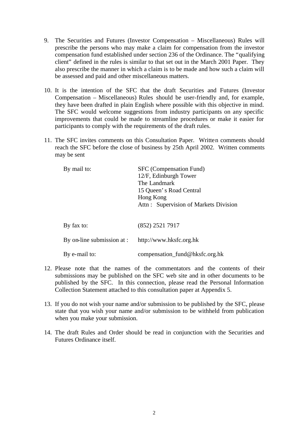- 9. The Securities and Futures (Investor Compensation Miscellaneous) Rules will prescribe the persons who may make a claim for compensation from the investor compensation fund established under section 236 of the Ordinance. The "qualifying client" defined in the rules is similar to that set out in the March 2001 Paper. They also prescribe the manner in which a claim is to be made and how such a claim will be assessed and paid and other miscellaneous matters.
- 10. It is the intention of the SFC that the draft Securities and Futures (Investor Compensation – Miscellaneous) Rules should be user-friendly and, for example, they have been drafted in plain English where possible with this objective in mind. The SFC would welcome suggestions from industry participants on any specific improvements that could be made to streamline procedures or make it easier for participants to comply with the requirements of the draft rules.
- 11. The SFC invites comments on this Consultation Paper. Written comments should reach the SFC before the close of business by 25th April 2002. Written comments may be sent

| By mail to:                | SFC (Compensation Fund)<br>12/F, Edinburgh Tower<br>The Landmark<br>15 Queen's Road Central<br>Hong Kong<br>Attn: Supervision of Markets Division |
|----------------------------|---------------------------------------------------------------------------------------------------------------------------------------------------|
| By fax to:                 | (852) 2521 7917                                                                                                                                   |
| By on-line submission at : | http://www.hksfc.org.hk                                                                                                                           |
| By e-mail to:              | compensation_fund@hksfc.org.hk                                                                                                                    |

- 12. Please note that the names of the commentators and the contents of their submissions may be published on the SFC web site and in other documents to be published by the SFC. In this connection, please read the Personal Information Collection Statement attached to this consultation paper at Appendix 5.
- 13. If you do not wish your name and/or submission to be published by the SFC, please state that you wish your name and/or submission to be withheld from publication when you make your submission.
- 14. The draft Rules and Order should be read in conjunction with the Securities and Futures Ordinance itself.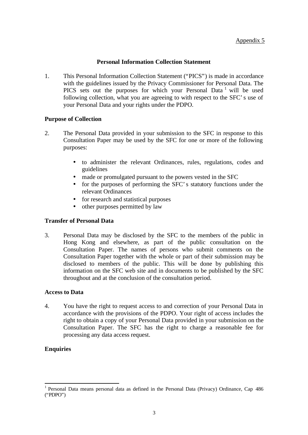### **Personal Information Collection Statement**

1. This Personal Information Collection Statement ("PICS") is made in accordance with the guidelines issued by the Privacy Commissioner for Personal Data. The PICS sets out the purposes for which your Personal Data<sup>1</sup> will be used following collection, what you are agreeing to with respect to the SFC's use of your Personal Data and your rights under the PDPO.

#### **Purpose of Collection**

- 2. The Personal Data provided in your submission to the SFC in response to this Consultation Paper may be used by the SFC for one or more of the following purposes:
	- to administer the relevant Ordinances, rules, regulations, codes and guidelines
	- made or promulgated pursuant to the powers vested in the SFC
	- for the purposes of performing the SFC's statutory functions under the relevant Ordinances
	- for research and statistical purposes
	- other purposes permitted by law

### **Transfer of Personal Data**

3. Personal Data may be disclosed by the SFC to the members of the public in Hong Kong and elsewhere, as part of the public consultation on the Consultation Paper. The names of persons who submit comments on the Consultation Paper together with the whole or part of their submission may be disclosed to members of the public. This will be done by publishing this information on the SFC web site and in documents to be published by the SFC throughout and at the conclusion of the consultation period.

#### **Access to Data**

4. You have the right to request access to and correction of your Personal Data in accordance with the provisions of the PDPO. Your right of access includes the right to obtain a copy of your Personal Data provided in your submission on the Consultation Paper. The SFC has the right to charge a reasonable fee for processing any data access request.

## **Enquiries**

l

<sup>&</sup>lt;sup>1</sup> Personal Data means personal data as defined in the Personal Data (Privacy) Ordinance, Cap 486 ("PDPO")